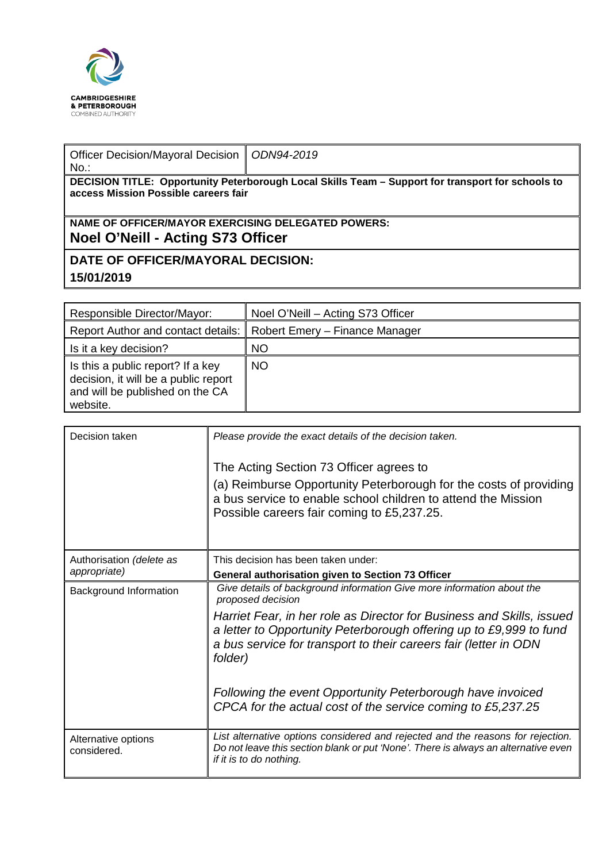

| Officer Decision/Mayoral Decision   ODN94-2019<br>$No.$ :                                                                                 |  |  |  |  |  |
|-------------------------------------------------------------------------------------------------------------------------------------------|--|--|--|--|--|
| DECISION TITLE: Opportunity Peterborough Local Skills Team – Support for transport for schools to<br>access Mission Possible careers fair |  |  |  |  |  |
|                                                                                                                                           |  |  |  |  |  |
| NAME OF OFFICER/MAYOR EXERCISING DELEGATED POWERS:                                                                                        |  |  |  |  |  |
| Noel O'Neill - Acting S73 Officer                                                                                                         |  |  |  |  |  |

**DATE OF OFFICER/MAYORAL DECISION: 15/01/2019**

| Responsible Director/Mayor:                                                                                              | Noel O'Neill - Acting S73 Officer |
|--------------------------------------------------------------------------------------------------------------------------|-----------------------------------|
| Report Author and contact details:                                                                                       | Robert Emery - Finance Manager    |
| Is it a key decision?                                                                                                    | <b>NO</b>                         |
| Is this a public report? If a key<br>decision, it will be a public report<br>and will be published on the CA<br>website. | <b>NO</b>                         |

| Decision taken                           | Please provide the exact details of the decision taken.<br>The Acting Section 73 Officer agrees to<br>(a) Reimburse Opportunity Peterborough for the costs of providing<br>a bus service to enable school children to attend the Mission<br>Possible careers fair coming to £5,237.25.                                                                                                                                                                 |
|------------------------------------------|--------------------------------------------------------------------------------------------------------------------------------------------------------------------------------------------------------------------------------------------------------------------------------------------------------------------------------------------------------------------------------------------------------------------------------------------------------|
| Authorisation (delete as<br>appropriate) | This decision has been taken under:<br>General authorisation given to Section 73 Officer                                                                                                                                                                                                                                                                                                                                                               |
| Background Information                   | Give details of background information Give more information about the<br>proposed decision<br>Harriet Fear, in her role as Director for Business and Skills, issued<br>a letter to Opportunity Peterborough offering up to £9,999 to fund<br>a bus service for transport to their careers fair (letter in ODN<br>folder)<br>Following the event Opportunity Peterborough have invoiced<br>CPCA for the actual cost of the service coming to £5,237.25 |
| Alternative options<br>considered.       | List alternative options considered and rejected and the reasons for rejection.<br>Do not leave this section blank or put 'None'. There is always an alternative even<br>if it is to do nothing.                                                                                                                                                                                                                                                       |